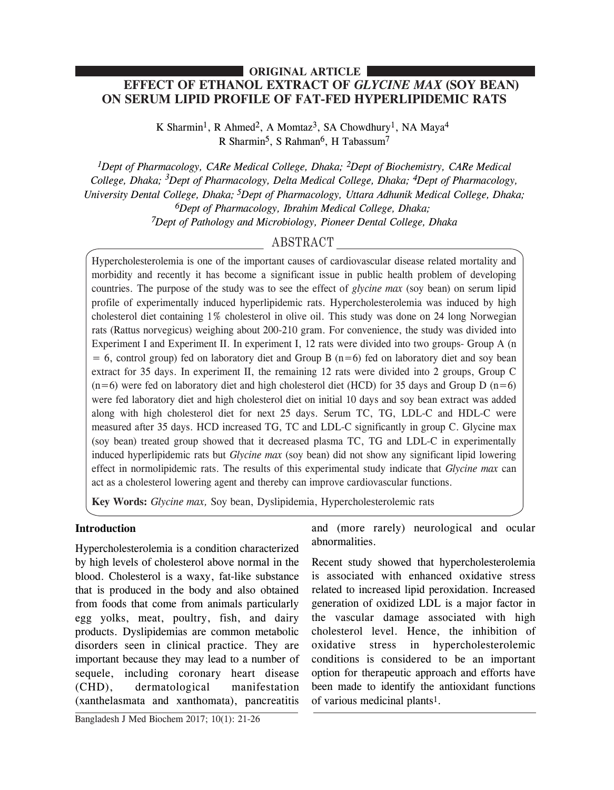## **EFFECT OF ETHANOL EXTRACT OF** *GLYCINE MAX* **(SOY BEAN) ON SERUM LIPID PROFILE OF FAT-FED HYPERLIPIDEMIC RATS ORIGINAL ARTICLE**

K Sharmin<sup>1</sup>, R Ahmed<sup>2</sup>, A Momtaz<sup>3</sup>, SA Chowdhury<sup>1</sup>, NA Maya<sup>4</sup> R Sharmin<sup>5</sup>, S Rahman<sup>6</sup>, H Tabassum<sup>7</sup>

*1Dept of Pharmacology, CARe Medical College, Dhaka; 2Dept of Biochemistry, CARe Medical College, Dhaka; <sup>3</sup> Dept of Pharmacology, Delta Medical College, Dhaka; 4Dept of Pharmacology, University Dental College, Dhaka; 5Dept of Pharmacology, Uttara Adhunik Medical College, Dhaka; 6Dept of Pharmacology, Ibrahim Medical College, Dhaka; 7Dept of Pathology and Microbiology, Pioneer Dental College, Dhaka*

# ABSTRACT

Hypercholesterolemia is one of the important causes of cardiovascular disease related mortality and morbidity and recently it has become a significant issue in public health problem of developing countries. The purpose of the study was to see the effect of *glycine max* (soy bean) on serum lipid profile of experimentally induced hyperlipidemic rats. Hypercholesterolemia was induced by high cholesterol diet containing 1% cholesterol in olive oil. This study was done on 24 long Norwegian rats (Rattus norvegicus) weighing about 200-210 gram. For convenience, the study was divided into Experiment I and Experiment II. In experiment I, 12 rats were divided into two groups- Group A (n  $= 6$ , control group) fed on laboratory diet and Group B (n=6) fed on laboratory diet and soy bean extract for 35 days. In experiment II, the remaining 12 rats were divided into 2 groups, Group C  $(n=6)$  were fed on laboratory diet and high cholesterol diet (HCD) for 35 days and Group D  $(n=6)$ were fed laboratory diet and high cholesterol diet on initial 10 days and soy bean extract was added along with high cholesterol diet for next 25 days. Serum TC, TG, LDL-C and HDL-C were measured after 35 days. HCD increased TG, TC and LDL-C significantly in group C. Glycine max (soy bean) treated group showed that it decreased plasma TC, TG and LDL-C in experimentally induced hyperlipidemic rats but *Glycine max* (soy bean) did not show any significant lipid lowering effect in normolipidemic rats. The results of this experimental study indicate that *Glycine max* can act as a cholesterol lowering agent and thereby can improve cardiovascular functions.

**Key Words:** *Glycine max,* Soy bean, Dyslipidemia, Hypercholesterolemic rats

## **Introduction**

Hypercholesterolemia is a condition characterized by high levels of cholesterol above normal in the blood. Cholesterol is a waxy, fat-like substance that is produced in the body and also obtained from foods that come from animals particularly egg yolks, meat, poultry, fish, and dairy products. Dyslipidemias are common metabolic disorders seen in clinical practice. They are important because they may lead to a number of sequele, including coronary heart disease (CHD), dermatological manifestation (xanthelasmata and xanthomata), pancreatitis

Bangladesh J Med Biochem 2017; 10(1): 21-26

and (more rarely) neurological and ocular abnormalities.

Recent study showed that hypercholesterolemia is associated with enhanced oxidative stress related to increased lipid peroxidation. Increased generation of oxidized LDL is a major factor in the vascular damage associated with high cholesterol level. Hence, the inhibition of oxidative stress in hypercholesterolemic conditions is considered to be an important option for therapeutic approach and efforts have been made to identify the antioxidant functions of various medicinal plants1.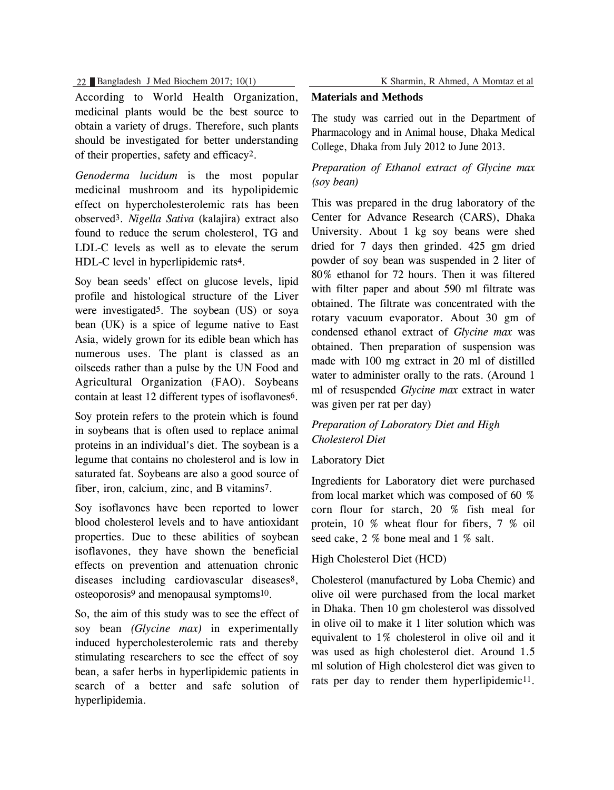22 Bangladesh J Med Biochem 2017; 10(1) K Sharmin, R Ahmed, A Momtaz et al

According to World Health Organization, medicinal plants would be the best source to obtain a variety of drugs. Therefore, such plants should be investigated for better understanding of their properties, safety and efficacy2.

*Genoderma lucidum* is the most popular medicinal mushroom and its hypolipidemic effect on hypercholesterolemic rats has been observed3. *Nigella Sativa* (kalajira) extract also found to reduce the serum cholesterol, TG and LDL-C levels as well as to elevate the serum HDL-C level in hyperlipidemic rats4.

Soy bean seeds' effect on glucose levels, lipid profile and histological structure of the Liver were investigated5. The soybean (US) or soya bean (UK) is a spice of legume native to East Asia, widely grown for its edible bean which has numerous uses. The plant is classed as an oilseeds rather than a pulse by the UN Food and Agricultural Organization (FAO). Soybeans contain at least 12 different types of isoflavones6.

Soy protein refers to the protein which is found in soybeans that is often used to replace animal proteins in an individual's diet. The soybean is a legume that contains no cholesterol and is low in saturated fat. Soybeans are also a good source of fiber, iron, calcium, zinc, and B vitamins7.

Soy isoflavones have been reported to lower blood cholesterol levels and to have antioxidant properties. Due to these abilities of soybean isoflavones, they have shown the beneficial effects on prevention and attenuation chronic diseases including cardiovascular diseases<sup>8</sup>, osteoporosis9 and menopausal symptoms10.

So, the aim of this study was to see the effect of soy bean *(Glycine max)* in experimentally induced hypercholesterolemic rats and thereby stimulating researchers to see the effect of soy bean, a safer herbs in hyperlipidemic patients in search of a better and safe solution of hyperlipidemia.

## **Materials and Methods**

The study was carried out in the Department of Pharmacology and in Animal house, Dhaka Medical College, Dhaka from July 2012 to June 2013.

## *Preparation of Ethanol extract of Glycine max (soy bean)*

This was prepared in the drug laboratory of the Center for Advance Research (CARS), Dhaka University. About 1 kg soy beans were shed dried for 7 days then grinded. 425 gm dried powder of soy bean was suspended in 2 liter of 80% ethanol for 72 hours. Then it was filtered with filter paper and about 590 ml filtrate was obtained. The filtrate was concentrated with the rotary vacuum evaporator. About 30 gm of condensed ethanol extract of *Glycine max* was obtained. Then preparation of suspension was made with 100 mg extract in 20 ml of distilled water to administer orally to the rats. (Around 1 ml of resuspended *Glycine max* extract in water was given per rat per day)

# *Preparation of Laboratory Diet and High Cholesterol Diet*

## Laboratory Diet

Ingredients for Laboratory diet were purchased from local market which was composed of 60 % corn flour for starch, 20 % fish meal for protein, 10 % wheat flour for fibers, 7 % oil seed cake, 2 % bone meal and 1 % salt.

## High Cholesterol Diet (HCD)

Cholesterol (manufactured by Loba Chemic) and olive oil were purchased from the local market in Dhaka. Then 10 gm cholesterol was dissolved in olive oil to make it 1 liter solution which was equivalent to 1% cholesterol in olive oil and it was used as high cholesterol diet. Around 1.5 ml solution of High cholesterol diet was given to rats per day to render them hyperlipidemic<sup>11</sup>.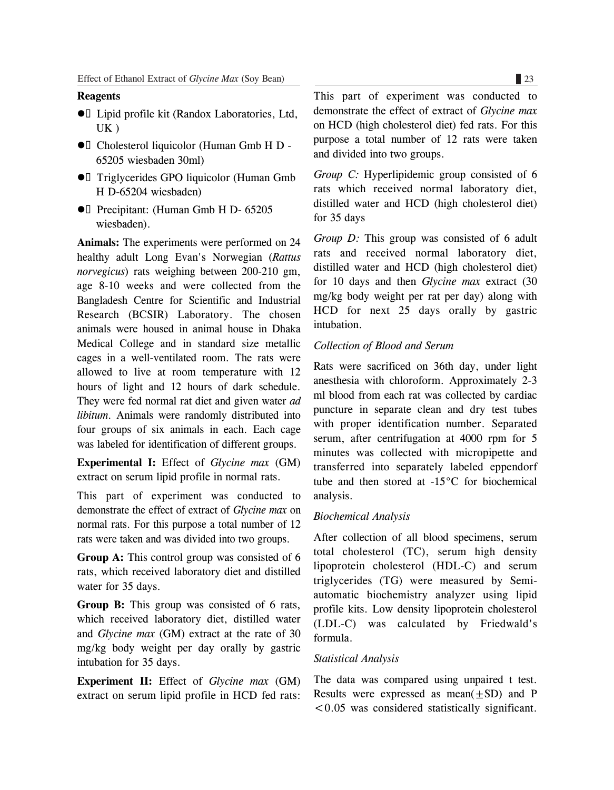#### **Reagents**

- **•** Lipid profile kit (Randox Laboratories, Ltd, UK )
- $\bullet$  Cholesterol liquicolor (Human Gmb H D -65205 wiesbaden 30ml)
- **•** Triglycerides GPO liquicolor (Human Gmb H D-65204 wiesbaden)
- $\bullet$  Precipitant: (Human Gmb H D- 65205) wiesbaden).

**Animals:** The experiments were performed on 24 healthy adult Long Evan's Norwegian (*Rattus norvegicus*) rats weighing between 200-210 gm, age 8-10 weeks and were collected from the Bangladesh Centre for Scientific and Industrial Research (BCSIR) Laboratory. The chosen animals were housed in animal house in Dhaka Medical College and in standard size metallic cages in a well-ventilated room. The rats were allowed to live at room temperature with 12 hours of light and 12 hours of dark schedule. They were fed normal rat diet and given water *ad libitum*. Animals were randomly distributed into four groups of six animals in each. Each cage was labeled for identification of different groups.

**Experimental I:** Effect of *Glycine max* (GM) extract on serum lipid profile in normal rats.

This part of experiment was conducted to demonstrate the effect of extract of *Glycine max* on normal rats. For this purpose a total number of 12 rats were taken and was divided into two groups.

**Group A:** This control group was consisted of 6 rats, which received laboratory diet and distilled water for 35 days.

**Group B:** This group was consisted of 6 rats, which received laboratory diet, distilled water and *Glycine max* (GM) extract at the rate of 30 mg/kg body weight per day orally by gastric intubation for 35 days.

**Experiment II:** Effect of *Glycine max* (GM) extract on serum lipid profile in HCD fed rats: This part of experiment was conducted to demonstrate the effect of extract of *Glycine max* on HCD (high cholesterol diet) fed rats. For this purpose a total number of 12 rats were taken and divided into two groups.

*Group C:* Hyperlipidemic group consisted of 6 rats which received normal laboratory diet, distilled water and HCD (high cholesterol diet) for 35 days

*Group D:* This group was consisted of 6 adult rats and received normal laboratory diet, distilled water and HCD (high cholesterol diet) for 10 days and then *Glycine max* extract (30 mg/kg body weight per rat per day) along with HCD for next 25 days orally by gastric intubation.

### *Collection of Blood and Serum*

Rats were sacrificed on 36th day, under light anesthesia with chloroform. Approximately 2-3 ml blood from each rat was collected by cardiac puncture in separate clean and dry test tubes with proper identification number. Separated serum, after centrifugation at 4000 rpm for 5 minutes was collected with micropipette and transferred into separately labeled eppendorf tube and then stored at -15°C for biochemical analysis.

#### *Biochemical Analysis*

After collection of all blood specimens, serum total cholesterol (TC), serum high density lipoprotein cholesterol (HDL-C) and serum triglycerides (TG) were measured by Semiautomatic biochemistry analyzer using lipid profile kits. Low density lipoprotein cholesterol (LDL-C) was calculated by Friedwald's formula.

#### *Statistical Analysis*

The data was compared using unpaired t test. Results were expressed as mean $(+SD)$  and P  $< 0.05$  was considered statistically significant.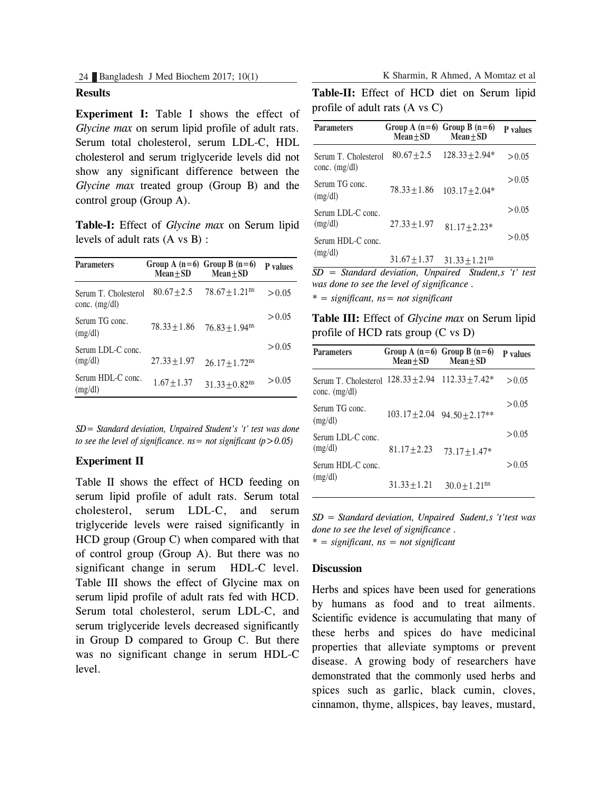## **Results**

**Experiment I:** Table I shows the effect of *Glycine max* on serum lipid profile of adult rats. Serum total cholesterol, serum LDL-C, HDL cholesterol and serum triglyceride levels did not show any significant difference between the *Glycine max* treated group (Group B) and the control group (Group A).

**Table-I:** Effect of *Glycine max* on Serum lipid levels of adult rats (A vs B) :

| <b>Parameters</b>                       | Group A $(n=6)$ Group B $(n=6)$<br>$Mean \pm SD$ | $Mean + SD$                  | <b>P</b> values |
|-----------------------------------------|--------------------------------------------------|------------------------------|-----------------|
| Serum T. Cholesterol<br>$conc.$ (mg/dl) | $80.67 + 2.5$                                    | $78.67 + 1.21$ <sup>ns</sup> | > 0.05          |
| Serum TG conc.<br>(mg/dl)               | $78.33 + 1.86$                                   | $76.83 + 1.94$ <sup>ns</sup> | > 0.05          |
| Serum LDL-C conc.<br>(mg/dl)            | $27.33 + 1.97$                                   | $26.17 + 1.72$ <sup>ns</sup> | > 0.05          |
| Serum HDL-C conc.<br>(mg/dl)            | $1.67 + 1.37$                                    | $31.33 + 0.82$ <sup>ns</sup> | > 0.05          |

*SD= Standard deviation, Unpaired Student's 't' test was done to see the level of significance.*  $ns = not$  *significant*  $(p > 0.05)$ 

## **Experiment II**

Table II shows the effect of HCD feeding on serum lipid profile of adult rats. Serum total cholesterol, serum LDL-C, and serum triglyceride levels were raised significantly in HCD group (Group C) when compared with that of control group (Group A). But there was no significant change in serum HDL-C level. Table III shows the effect of Glycine max on serum lipid profile of adult rats fed with HCD. Serum total cholesterol, serum LDL-C, and serum triglyceride levels decreased significantly in Group D compared to Group C. But there was no significant change in serum HDL-C level.

**Table-II:** Effect of HCD diet on Serum lipid profile of adult rats (A vs C)

| $Mean + SD$                           | $Mean + SD$                  | <b>P</b> values                             |
|---------------------------------------|------------------------------|---------------------------------------------|
| $80.67 + 2.5$<br>Serum T. Cholesterol | $128.33 \pm 2.94*$           | > 0.05                                      |
| $78.33 + 1.86$                        | $103.17 \pm 2.04*$           | > 0.05                                      |
| $27.33 + 1.97$                        | $81.17 \pm 2.23*$            | > 0.05                                      |
| $31.67 \pm 1.37$                      | $31.33 + 1.21$ <sup>ns</sup> | > 0.05                                      |
|                                       | .<br><b>. .</b>              | Group A $(n=6)$ Group B $(n=6)$<br>$\cdots$ |

*SD = Standard deviation, Unpaired Student,s 't' test was done to see the level of significance .*

*\* = significant, ns= not significant*

**Table III:** Effect of *Glycine max* on Serum lipid profile of HCD rats group (C vs D)

| <b>Parameters</b>                       | Mean+SD        | Group A $(n=6)$ Group B $(n=6)$<br>$Mean + SD$ | <b>P</b> values |
|-----------------------------------------|----------------|------------------------------------------------|-----------------|
| Serum T. Cholesterol<br>$conc.$ (mg/dl) |                | $128.33 + 2.94$ $112.33 + 7.42*$               | > 0.05          |
| Serum TG conc.<br>(mg/dl)               |                | $103.17 \pm 2.04$ 94.50 $\pm 2.17$ **          | > 0.05          |
| Serum LDL-C conc.<br>(mg/dl)            | $81.17 + 2.23$ | $73.17 + 1.47*$                                | > 0.05          |
| Serum HDL-C conc.<br>(mg/dl)            |                |                                                | > 0.05          |
|                                         | $31.33 + 1.21$ | $30.0 + 1.21$ <sup>ns</sup>                    |                 |

*SD = Standard deviation, Unpaired Sudent,s 't'test was done to see the level of significance .*

*\* = significant, ns = not significant*

#### **Discussion**

Herbs and spices have been used for generations by humans as food and to treat ailments. Scientific evidence is accumulating that many of these herbs and spices do have medicinal properties that alleviate symptoms or prevent disease. A growing body of researchers have demonstrated that the commonly used herbs and spices such as garlic, black cumin, cloves, cinnamon, thyme, allspices, bay leaves, mustard,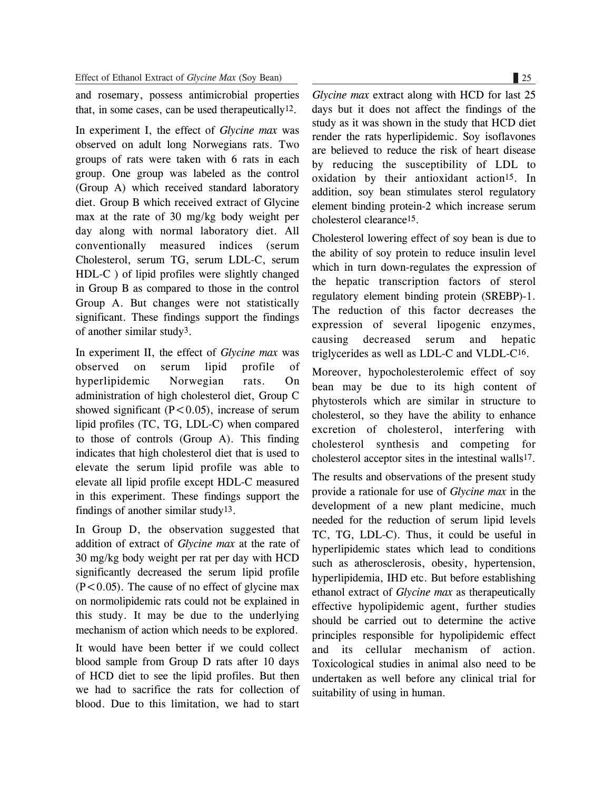and rosemary, possess antimicrobial properties that, in some cases, can be used therapeutically<sup>12</sup>.

In experiment I, the effect of *Glycine max* was observed on adult long Norwegians rats. Two groups of rats were taken with 6 rats in each group. One group was labeled as the control (Group A) which received standard laboratory diet. Group B which received extract of Glycine max at the rate of 30 mg/kg body weight per day along with normal laboratory diet. All conventionally measured indices (serum Cholesterol, serum TG, serum LDL-C, serum HDL-C ) of lipid profiles were slightly changed in Group B as compared to those in the control Group A. But changes were not statistically significant. These findings support the findings of another similar study3.

In experiment II, the effect of *Glycine max* was observed on serum lipid profile of hyperlipidemic Norwegian rats. On administration of high cholesterol diet, Group C showed significant  $(P<0.05)$ , increase of serum lipid profiles (TC, TG, LDL-C) when compared to those of controls (Group A). This finding indicates that high cholesterol diet that is used to elevate the serum lipid profile was able to elevate all lipid profile except HDL-C measured in this experiment. These findings support the findings of another similar study13.

In Group D, the observation suggested that addition of extract of *Glycine max* at the rate of 30 mg/kg body weight per rat per day with HCD significantly decreased the serum lipid profile  $(P<0.05)$ . The cause of no effect of glycine max on normolipidemic rats could not be explained in this study. It may be due to the underlying mechanism of action which needs to be explored.

It would have been better if we could collect blood sample from Group D rats after 10 days of HCD diet to see the lipid profiles. But then we had to sacrifice the rats for collection of blood. Due to this limitation, we had to start

*Glycine max* extract along with HCD for last 25 days but it does not affect the findings of the study as it was shown in the study that HCD diet render the rats hyperlipidemic. Soy isoflavones are believed to reduce the risk of heart disease by reducing the susceptibility of LDL to oxidation by their antioxidant action<sup>15</sup>. In addition, soy bean stimulates sterol regulatory element binding protein-2 which increase serum cholesterol clearance15.

Cholesterol lowering effect of soy bean is due to the ability of soy protein to reduce insulin level which in turn down-regulates the expression of the hepatic transcription factors of sterol regulatory element binding protein (SREBP)-1. The reduction of this factor decreases the expression of several lipogenic enzymes, causing decreased serum and hepatic triglycerides as well as LDL-C and VLDL-C16.

Moreover, hypocholesterolemic effect of soy bean may be due to its high content of phytosterols which are similar in structure to cholesterol, so they have the ability to enhance excretion of cholesterol, interfering with cholesterol synthesis and competing for cholesterol acceptor sites in the intestinal walls17.

The results and observations of the present study provide a rationale for use of *Glycine max* in the development of a new plant medicine, much needed for the reduction of serum lipid levels TC, TG, LDL-C). Thus, it could be useful in hyperlipidemic states which lead to conditions such as atherosclerosis, obesity, hypertension, hyperlipidemia, IHD etc. But before establishing ethanol extract of *Glycine max* as therapeutically effective hypolipidemic agent, further studies should be carried out to determine the active principles responsible for hypolipidemic effect and its cellular mechanism of action. Toxicological studies in animal also need to be undertaken as well before any clinical trial for suitability of using in human.